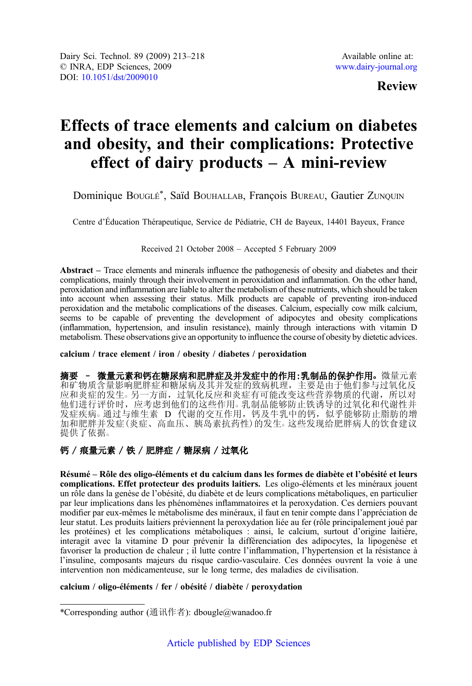## Review

# Effects of trace elements and calcium on diabetes and obesity, and their complications: Protective effect of dairy products  $-$  A mini-review

Dominique BOUGLÉ\*, Saïd BOUHALLAB, François BUREAU, Gautier ZUNQUIN

Centre d'Éducation Thérapeutique, Service de Pédiatrie, CH de Bayeux, 14401 Bayeux, France

#### Received 21 October 2008 – Accepted 5 February 2009

Abstract – Trace elements and minerals influence the pathogenesis of obesity and diabetes and their complications, mainly through their involvement in peroxidation and inflammation. On the other hand, peroxidation and inflammation are liable to alter the metabolism of these nutrients, which should be taken into account when assessing their status. Milk products are capable of preventing iron-induced peroxidation and the metabolic complications of the diseases. Calcium, especially cow milk calcium, seems to be capable of preventing the development of adipocytes and obesity complications (inflammation, hypertension, and insulin resistance), mainly through interactions with vitamin D metabolism. These observations give an opportunity to influence the course of obesity by dietetic advices.

#### calcium / trace element / iron / obesity / diabetes / peroxidation

摘要 - 微量元素和钙在糖尿病和肥胖症及并发症中的作用:乳制品的保护作用。微量元素 和矿物质含量影响肥胖症和糖尿病及其并发症的致病机理,主要是由于他们参与过氧化反 应和炎症的发生。另一方面,过氧化反应和炎症有可能改变这些营养物质的代谢,所以对 他们进行评价时,应考虑到他们的这些作用○ 乳制品能够防止铁诱导的过氧化和代谢性并 发症疾病。通过与维生素 D 代谢的交互作用, 钙及牛乳中的钙, 似乎能够防止脂肪的增 加和肥胖并发症(炎症、高血压、胰岛素抗药性)的发生○ 这些发现给肥胖病人的饮食建议 提供了依据。

## 钙 / 痕量元素 / 铁 / 肥胖症 / 糖尿病 / 过氧化

Résumé – Rôle des oligo-éléments et du calcium dans les formes de diabète et l'obésité et leurs complications. Effet protecteur des produits laitiers. Les oligo-éléments et les minéraux jouent un rôle dans la genèse de l'obésité, du diabète et de leurs complications métaboliques, en particulier par leur implications dans les phénomènes inflammatoires et la peroxydation. Ces derniers pouvant modifier par eux-mêmes le métabolisme des minéraux, il faut en tenir compte dans l'appréciation de leur statut. Les produits laitiers préviennent la peroxydation liée au fer (rôle principalement joué par les protéines) et les complications métaboliques : ainsi, le calcium, surtout d'origine laitière, interagit avec la vitamine D pour prévenir la différenciation des adipocytes, la lipogenèse et favoriser la production de chaleur ; il lutte contre l'inflammation, l'hypertension et la résistance à l'insuline, composants majeurs du risque cardio-vasculaire. Ces données ouvrent la voie à une intervention non médicamenteuse, sur le long terme, des maladies de civilisation.

### calcium / oligo-éléments / fer / obésité / diabète / peroxydation

<sup>\*</sup>Corresponding author (通讯作者): dbougle@wanadoo.fr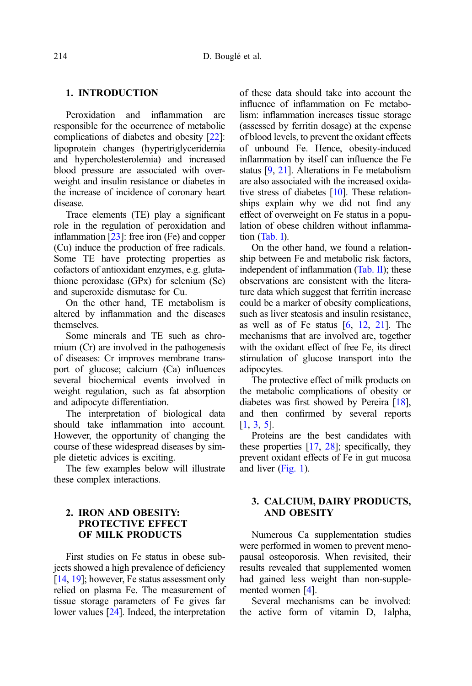### 1. INTRODUCTION

Peroxidation and inflammation are responsible for the occurrence of metabolic complications of diabetes and obesity [[22\]](#page-5-0): lipoprotein changes (hypertriglyceridemia and hypercholesterolemia) and increased blood pressure are associated with overweight and insulin resistance or diabetes in the increase of incidence of coronary heart disease.

Trace elements (TE) play a significant role in the regulation of peroxidation and inflammation [\[23\]](#page-5-0): free iron (Fe) and copper (Cu) induce the production of free radicals. Some TE have protecting properties as cofactors of antioxidant enzymes, e.g. glutathione peroxidase (GPx) for selenium (Se) and superoxide dismutase for Cu.

On the other hand, TE metabolism is altered by inflammation and the diseases themselves.

Some minerals and TE such as chromium (Cr) are involved in the pathogenesis of diseases: Cr improves membrane transport of glucose; calcium (Ca) influences several biochemical events involved in weight regulation, such as fat absorption and adipocyte differentiation.

The interpretation of biological data should take inflammation into account. However, the opportunity of changing the course of these widespread diseases by simple dietetic advices is exciting.

The few examples below will illustrate these complex interactions.

#### 2. IRON AND OBESITY: PROTECTIVE EFFECT OF MILK PRODUCTS

First studies on Fe status in obese subjects showed a high prevalence of deficiency [\[14](#page-5-0), [19](#page-5-0)]; however, Fe status assessment only relied on plasma Fe. The measurement of tissue storage parameters of Fe gives far lower values [\[24](#page-5-0)]. Indeed, the interpretation of these data should take into account the influence of inflammation on Fe metabolism: inflammation increases tissue storage (assessed by ferritin dosage) at the expense of blood levels, to prevent the oxidant effects of unbound Fe. Hence, obesity-induced inflammation by itself can influence the Fe status [\[9](#page-4-0), [21\]](#page-5-0). Alterations in Fe metabolism are also associated with the increased oxida-tive stress of diabetes [\[10\]](#page-4-0). These relationships explain why we did not find any effect of overweight on Fe status in a population of obese children without inflammation [\(Tab. I](#page-2-0)).

On the other hand, we found a relationship between Fe and metabolic risk factors, independent of inflammation [\(Tab. II\)](#page-2-0); these observations are consistent with the literature data which suggest that ferritin increase could be a marker of obesity complications, such as liver steatosis and insulin resistance, as well as of Fe status  $[6, 12, 21]$  $[6, 12, 21]$  $[6, 12, 21]$  $[6, 12, 21]$  $[6, 12, 21]$  $[6, 12, 21]$ . The mechanisms that are involved are, together with the oxidant effect of free Fe, its direct stimulation of glucose transport into the adipocytes.

The protective effect of milk products on the metabolic complications of obesity or diabetes was first showed by Pereira [\[18](#page-5-0)], and then confirmed by several reports [[1](#page-4-0), [3](#page-4-0), [5\]](#page-4-0).

Proteins are the best candidates with these properties [\[17](#page-5-0), [28](#page-5-0)]; specifically, they prevent oxidant effects of Fe in gut mucosa and liver [\(Fig. 1\)](#page-3-0).

#### 3. CALCIUM, DAIRY PRODUCTS, AND OBESITY

Numerous Ca supplementation studies were performed in women to prevent menopausal osteoporosis. When revisited, their results revealed that supplemented women had gained less weight than non-supplemented women [\[4\]](#page-4-0).

Several mechanisms can be involved: the active form of vitamin D, 1alpha,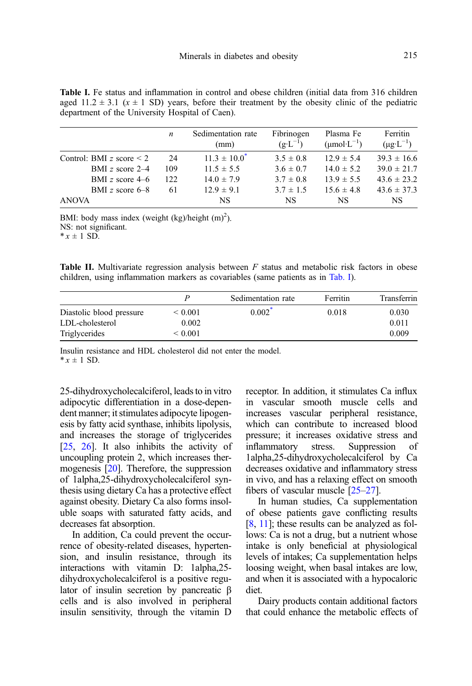<span id="page-2-0"></span>Table I. Fe status and inflammation in control and obese children (initial data from 316 children aged  $11.2 \pm 3.1$  ( $x \pm 1$  SD) years, before their treatment by the obesity clinic of the pediatric department of the University Hospital of Caen).

| Sedimentation rate<br>Fibrinogen<br>Plasma Fe<br>$\boldsymbol{n}$<br>$(\text{umol} \cdot L^{-1})$<br>$(g \cdot L^{-1})$<br>(mm)<br>$11.3 \pm 10.0^*$<br>$3.5 \pm 0.8$<br>$12.9 \pm 5.4$<br>24<br>Control: BMI z score $\leq 2$<br>$3.6 \pm 0.7$<br>$14.0 \pm 5.2$<br>$11.5 \pm 5.5$<br>109<br>BMI z score $2-4$<br>$14.0 \pm 7.9$<br>$13.9 \pm 5.5$<br>$3.7 \pm 0.8$<br>BMI z score $4-6$<br>122.<br>$12.9 \pm 9.1$<br>$15.6 \pm 4.8$<br>BMI z score $6-8$<br>$3.7 \pm 1.5$<br>61<br><b>ANOVA</b><br>NS.<br><b>NS</b><br>NS |  |  |                                    |
|-----------------------------------------------------------------------------------------------------------------------------------------------------------------------------------------------------------------------------------------------------------------------------------------------------------------------------------------------------------------------------------------------------------------------------------------------------------------------------------------------------------------------------|--|--|------------------------------------|
|                                                                                                                                                                                                                                                                                                                                                                                                                                                                                                                             |  |  | Ferritin<br>$(\mu g \cdot L^{-1})$ |
|                                                                                                                                                                                                                                                                                                                                                                                                                                                                                                                             |  |  | $39.3 \pm 16.6$                    |
|                                                                                                                                                                                                                                                                                                                                                                                                                                                                                                                             |  |  | $39.0 \pm 21.7$                    |
|                                                                                                                                                                                                                                                                                                                                                                                                                                                                                                                             |  |  | $43.6 \pm 23.2$                    |
|                                                                                                                                                                                                                                                                                                                                                                                                                                                                                                                             |  |  | $43.6 \pm 37.3$                    |
|                                                                                                                                                                                                                                                                                                                                                                                                                                                                                                                             |  |  | NS.                                |

BMI: body mass index (weight  $(kg)/height (m)<sup>2</sup>$ ). NS: not significant.

 $* x \pm 1$  SD.

**Table II.** Multivariate regression analysis between  $F$  status and metabolic risk factors in obese children, using inflammation markers as covariables (same patients as in Tab. I).

|                          | P           | Sedimentation rate | Ferritin | Transferrin |
|--------------------------|-------------|--------------------|----------|-------------|
| Diastolic blood pressure | ${}< 0.001$ | $0.002^*$          | 0.018    | 0.030       |
| LDL-cholesterol          | 0.002       |                    |          | 0.011       |
| Triglycerides            | ${}< 0.001$ |                    |          | 0.009       |

Insulin resistance and HDL cholesterol did not enter the model.  $*$  x + 1 SD.

25-dihydroxycholecalciferol, leads to in vitro adipocytic differentiation in a dose-dependent manner; it stimulates adipocyte lipogenesis by fatty acid synthase, inhibits lipolysis, and increases the storage of triglycerides [[25](#page-5-0), [26](#page-5-0)]. It also inhibits the activity of uncoupling protein 2, which increases thermogenesis [[20](#page-5-0)]. Therefore, the suppression of 1alpha,25-dihydroxycholecalciferol synthesis using dietary Ca has a protective effect against obesity. Dietary Ca also forms insoluble soaps with saturated fatty acids, and decreases fat absorption.

In addition, Ca could prevent the occurrence of obesity-related diseases, hypertension, and insulin resistance, through its interactions with vitamin D: 1alpha,25 dihydroxycholecalciferol is a positive regulator of insulin secretion by pancreatic β cells and is also involved in peripheral insulin sensitivity, through the vitamin D receptor. In addition, it stimulates Ca influx in vascular smooth muscle cells and increases vascular peripheral resistance, which can contribute to increased blood pressure; it increases oxidative stress and inflammatory stress. Suppression of 1alpha,25-dihydroxycholecalciferol by Ca decreases oxidative and inflammatory stress in vivo, and has a relaxing effect on smooth fibers of vascular muscle [\[25](#page-5-0)–[27](#page-5-0)].

In human studies, Ca supplementation of obese patients gave conflicting results [[8,](#page-4-0) [11](#page-4-0)]; these results can be analyzed as follows: Ca is not a drug, but a nutrient whose intake is only beneficial at physiological levels of intakes; Ca supplementation helps loosing weight, when basal intakes are low, and when it is associated with a hypocaloric diet.

Dairy products contain additional factors that could enhance the metabolic effects of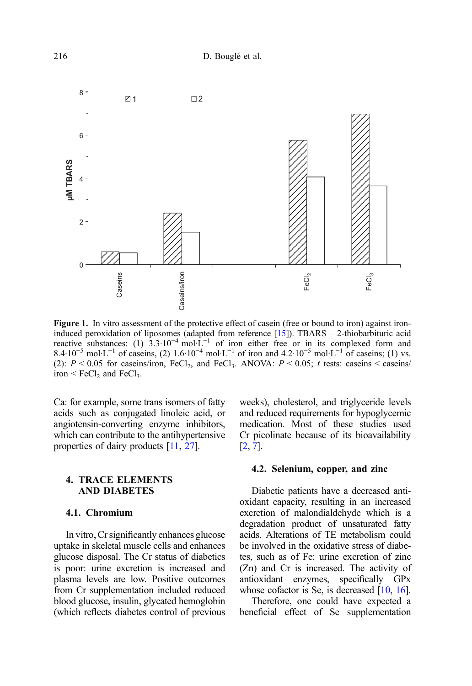<span id="page-3-0"></span>

Figure 1. In vitro assessment of the protective effect of casein (free or bound to iron) against iron-induced peroxidation of liposomes (adapted from reference [[15\]](#page-5-0)). TBARS – 2-thiobarbituric acid reactive substances: (1) 3.3·10<sup>-4</sup> mol·L<sup>-1</sup> of iron either free or in its complexed form and 8.4·10<sup>-5</sup> mol·L<sup>-1</sup> of caseins, (2) 1.6·10<sup>-4</sup> mol·L<sup>-1</sup> of iron and 4.2·10<sup>-5</sup> mol·L<sup>-1</sup> of caseins; (1) vs. (2):  $P < 0.05$  for caseins/iron, FeCl<sub>2</sub>, and FeCl<sub>3</sub>. ANOVA:  $P < 0.05$ ; t tests: caseins < caseins/ iron  $\leq$  FeCl<sub>2</sub> and FeCl<sub>3</sub>.

Ca: for example, some trans isomers of fatty acids such as conjugated linoleic acid, or angiotensin-converting enzyme inhibitors, which can contribute to the antihypertensive properties of dairy products [\[11,](#page-4-0) [27\]](#page-5-0).

#### 4. TRACE ELEMENTS AND DIABETES

#### 4.1. Chromium

In vitro, Cr significantly enhances glucose uptake in skeletal muscle cells and enhances glucose disposal. The Cr status of diabetics is poor: urine excretion is increased and plasma levels are low. Positive outcomes from Cr supplementation included reduced blood glucose, insulin, glycated hemoglobin (which reflects diabetes control of previous weeks), cholesterol, and triglyceride levels and reduced requirements for hypoglycemic medication. Most of these studies used Cr picolinate because of its bioavailability [[2](#page-4-0), [7\]](#page-4-0).

#### 4.2. Selenium, copper, and zinc

Diabetic patients have a decreased antioxidant capacity, resulting in an increased excretion of malondialdehyde which is a degradation product of unsaturated fatty acids. Alterations of TE metabolism could be involved in the oxidative stress of diabetes, such as of Fe: urine excretion of zinc (Zn) and Cr is increased. The activity of antioxidant enzymes, specifically GPx whose cofactor is Se, is decreased [\[10,](#page-4-0) [16](#page-5-0)].

Therefore, one could have expected a beneficial effect of Se supplementation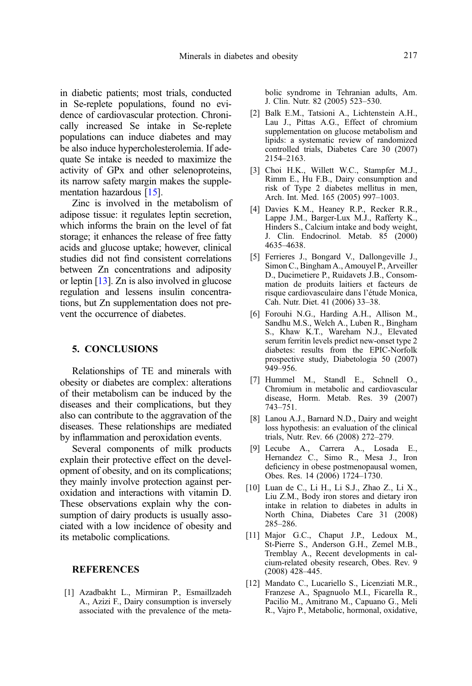<span id="page-4-0"></span>in diabetic patients; most trials, conducted in Se-replete populations, found no evidence of cardiovascular protection. Chronically increased Se intake in Se-replete populations can induce diabetes and may be also induce hypercholesterolemia. If adequate Se intake is needed to maximize the activity of GPx and other selenoproteins, its narrow safety margin makes the supplementation hazardous [\[15](#page-5-0)].

Zinc is involved in the metabolism of adipose tissue: it regulates leptin secretion, which informs the brain on the level of fat storage; it enhances the release of free fatty acids and glucose uptake; however, clinical studies did not find consistent correlations between Zn concentrations and adiposity or leptin [\[13\]](#page-5-0). Zn is also involved in glucose regulation and lessens insulin concentrations, but Zn supplementation does not prevent the occurrence of diabetes.

### 5. CONCLUSIONS

Relationships of TE and minerals with obesity or diabetes are complex: alterations of their metabolism can be induced by the diseases and their complications, but they also can contribute to the aggravation of the diseases. These relationships are mediated by inflammation and peroxidation events.

Several components of milk products explain their protective effect on the development of obesity, and on its complications; they mainly involve protection against peroxidation and interactions with vitamin D. These observations explain why the consumption of dairy products is usually associated with a low incidence of obesity and its metabolic complications.

#### **REFERENCES**

[1] Azadbakht L., Mirmiran P., Esmaillzadeh A., Azizi F., Dairy consumption is inversely associated with the prevalence of the metabolic syndrome in Tehranian adults, Am. J. Clin. Nutr. 82 (2005) 523–530.

- [2] Balk E.M., Tatsioni A., Lichtenstein A.H., Lau J., Pittas A.G., Effect of chromium supplementation on glucose metabolism and lipids: a systematic review of randomized controlled trials, Diabetes Care 30 (2007) 2154–2163.
- [3] Choi H.K., Willett W.C., Stampfer M.J., Rimm E., Hu F.B., Dairy consumption and risk of Type 2 diabetes mellitus in men, Arch. Int. Med. 165 (2005) 997–1003.
- [4] Davies K.M., Heaney R.P., Recker R.R., Lappe J.M., Barger-Lux M.J., Rafferty K., Hinders S., Calcium intake and body weight, J. Clin. Endocrinol. Metab. 85 (2000) 4635–4638.
- [5] Ferrieres J., Bongard V., Dallongeville J., Simon C., Bingham A., Amouyel P., Arveiller D., Ducimetiere P., Ruidavets J.B., Consommation de produits laitiers et facteurs de risque cardiovasculaire dans l'étude Monica, Cah. Nutr. Diet. 41 (2006) 33–38.
- [6] Forouhi N.G., Harding A.H., Allison M., Sandhu M.S., Welch A., Luben R., Bingham S., Khaw K.T., Wareham N.J., Elevated serum ferritin levels predict new-onset type 2 diabetes: results from the EPIC-Norfolk prospective study, Diabetologia 50 (2007) 949–956.
- [7] Hummel M., Standl E., Schnell O., Chromium in metabolic and cardiovascular disease, Horm. Metab. Res. 39 (2007) 743–751.
- [8] Lanou A.J., Barnard N.D., Dairy and weight loss hypothesis: an evaluation of the clinical trials, Nutr. Rev. 66 (2008) 272–279.
- [9] Lecube A., Carrera A., Losada E., Hernandez C., Simo R., Mesa J., Iron deficiency in obese postmenopausal women, Obes. Res. 14 (2006) 1724–1730.
- [10] Luan de C., Li H., Li S.J., Zhao Z., Li X., Liu Z.M., Body iron stores and dietary iron intake in relation to diabetes in adults in North China, Diabetes Care 31 (2008) 285–286.
- [11] Major G.C., Chaput J.P., Ledoux M., St-Pierre S., Anderson G.H., Zemel M.B., Tremblay A., Recent developments in calcium-related obesity research, Obes. Rev. 9 (2008) 428–445.
- [12] Mandato C., Lucariello S., Licenziati M.R., Franzese A., Spagnuolo M.I., Ficarella R., Pacilio M., Amitrano M., Capuano G., Meli R., Vajro P., Metabolic, hormonal, oxidative,